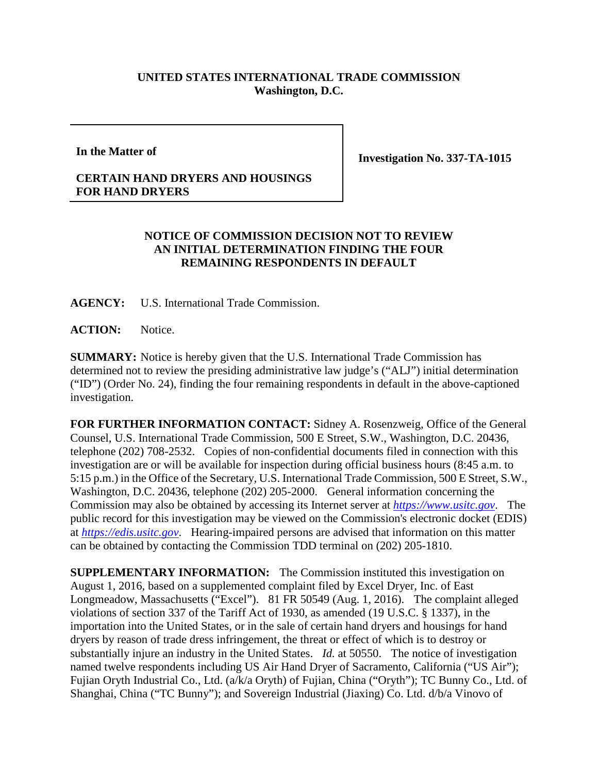## **UNITED STATES INTERNATIONAL TRADE COMMISSION Washington, D.C.**

**In the Matter of**

**Investigation No. 337-TA-1015**

## **CERTAIN HAND DRYERS AND HOUSINGS FOR HAND DRYERS**

## **NOTICE OF COMMISSION DECISION NOT TO REVIEW AN INITIAL DETERMINATION FINDING THE FOUR REMAINING RESPONDENTS IN DEFAULT**

**AGENCY:** U.S. International Trade Commission.

**ACTION:** Notice.

**SUMMARY:** Notice is hereby given that the U.S. International Trade Commission has determined not to review the presiding administrative law judge's ("ALJ") initial determination ("ID") (Order No. 24), finding the four remaining respondents in default in the above-captioned investigation.

**FOR FURTHER INFORMATION CONTACT:** Sidney A. Rosenzweig, Office of the General Counsel, U.S. International Trade Commission, 500 E Street, S.W., Washington, D.C. 20436, telephone (202) 708-2532. Copies of non-confidential documents filed in connection with this investigation are or will be available for inspection during official business hours (8:45 a.m. to 5:15 p.m.) in the Office of the Secretary, U.S. International Trade Commission, 500 E Street, S.W., Washington, D.C. 20436, telephone (202) 205-2000. General information concerning the Commission may also be obtained by accessing its Internet server at *[https://www.usitc.gov](https://www.usitc.gov/)*. The public record for this investigation may be viewed on the Commission's electronic docket (EDIS) at *[https://edis.usitc.gov](https://edis.usitc.gov/)*. Hearing-impaired persons are advised that information on this matter can be obtained by contacting the Commission TDD terminal on (202) 205-1810.

**SUPPLEMENTARY INFORMATION:** The Commission instituted this investigation on August 1, 2016, based on a supplemented complaint filed by Excel Dryer, Inc. of East Longmeadow, Massachusetts ("Excel"). 81 FR 50549 (Aug. 1, 2016). The complaint alleged violations of section 337 of the Tariff Act of 1930, as amended (19 U.S.C. § 1337), in the importation into the United States, or in the sale of certain hand dryers and housings for hand dryers by reason of trade dress infringement, the threat or effect of which is to destroy or substantially injure an industry in the United States. *Id.* at 50550. The notice of investigation named twelve respondents including US Air Hand Dryer of Sacramento, California ("US Air"); Fujian Oryth Industrial Co., Ltd. (a/k/a Oryth) of Fujian, China ("Oryth"); TC Bunny Co., Ltd. of Shanghai, China ("TC Bunny"); and Sovereign Industrial (Jiaxing) Co. Ltd. d/b/a Vinovo of